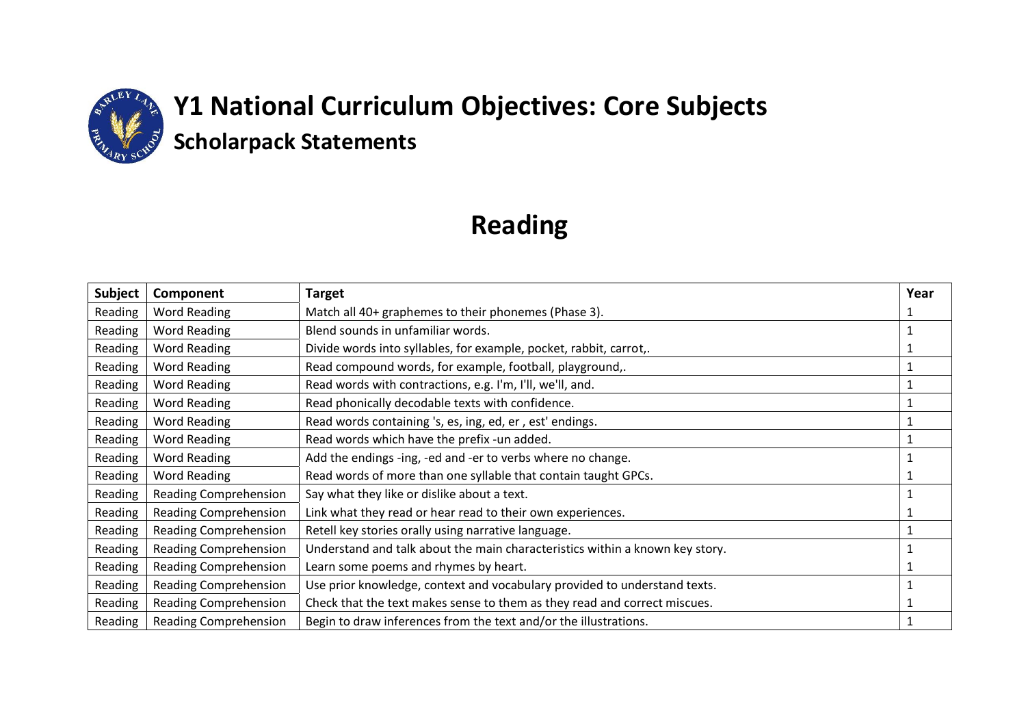

# **Reading**

| <b>Subject</b> | Component                    | <b>Target</b>                                                                | Year |
|----------------|------------------------------|------------------------------------------------------------------------------|------|
| Reading        | Word Reading                 | Match all 40+ graphemes to their phonemes (Phase 3).                         |      |
| Reading        | <b>Word Reading</b>          | Blend sounds in unfamiliar words.                                            |      |
| Reading        | <b>Word Reading</b>          | Divide words into syllables, for example, pocket, rabbit, carrot,.           |      |
| Reading        | <b>Word Reading</b>          | Read compound words, for example, football, playground,.                     |      |
| Reading        | <b>Word Reading</b>          | Read words with contractions, e.g. I'm, I'll, we'll, and.                    |      |
| Reading        | <b>Word Reading</b>          | Read phonically decodable texts with confidence.                             |      |
| Reading        | <b>Word Reading</b>          | Read words containing 's, es, ing, ed, er, est' endings.                     |      |
| Reading        | <b>Word Reading</b>          | Read words which have the prefix -un added.                                  |      |
| Reading        | Word Reading                 | Add the endings -ing, -ed and -er to verbs where no change.                  |      |
| Reading        | <b>Word Reading</b>          | Read words of more than one syllable that contain taught GPCs.               |      |
| Reading        | <b>Reading Comprehension</b> | Say what they like or dislike about a text.                                  |      |
| Reading        | Reading Comprehension        | Link what they read or hear read to their own experiences.                   |      |
| Reading        | Reading Comprehension        | Retell key stories orally using narrative language.                          |      |
| Reading        | Reading Comprehension        | Understand and talk about the main characteristics within a known key story. |      |
| Reading        | Reading Comprehension        | Learn some poems and rhymes by heart.                                        |      |
| Reading        | Reading Comprehension        | Use prior knowledge, context and vocabulary provided to understand texts.    |      |
| Reading        | <b>Reading Comprehension</b> | Check that the text makes sense to them as they read and correct miscues.    |      |
| Reading        | Reading Comprehension        | Begin to draw inferences from the text and/or the illustrations.             |      |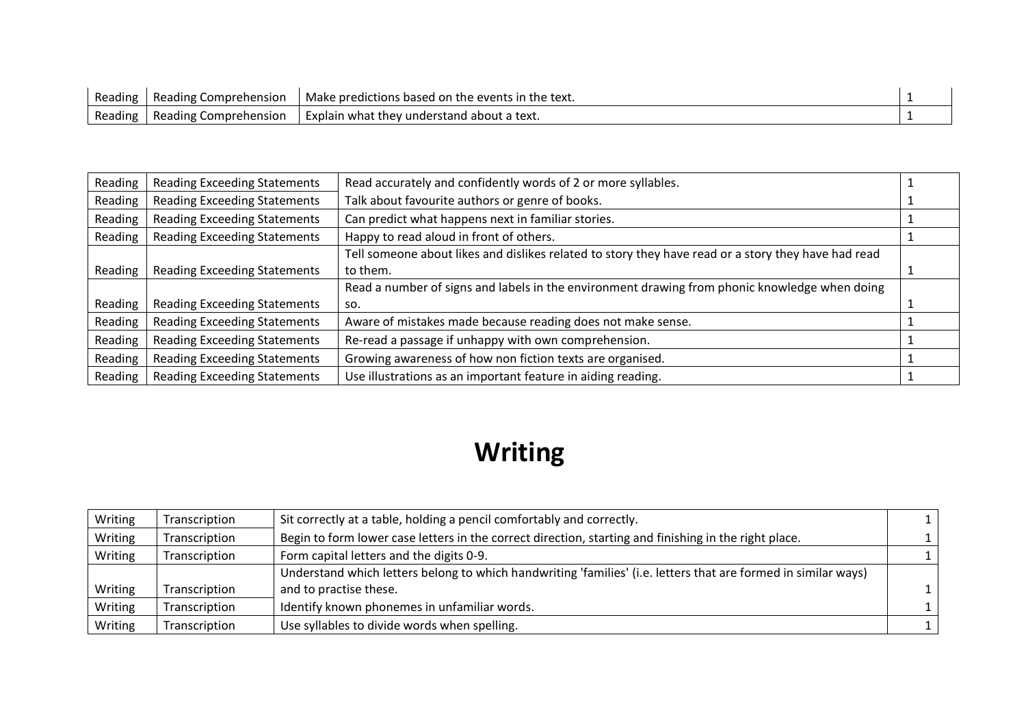| Reading | Reading Comprehension   | Make predictions based on the events in the text. |  |
|---------|-------------------------|---------------------------------------------------|--|
| Reading | I Reading Comprehension | Explain what they understand about a text.        |  |

| Reading | <b>Reading Exceeding Statements</b> | Read accurately and confidently words of 2 or more syllables.                                       |  |
|---------|-------------------------------------|-----------------------------------------------------------------------------------------------------|--|
| Reading | <b>Reading Exceeding Statements</b> | Talk about favourite authors or genre of books.                                                     |  |
| Reading | <b>Reading Exceeding Statements</b> | Can predict what happens next in familiar stories.                                                  |  |
| Reading | <b>Reading Exceeding Statements</b> | Happy to read aloud in front of others.                                                             |  |
|         |                                     | Tell someone about likes and dislikes related to story they have read or a story they have had read |  |
| Reading | <b>Reading Exceeding Statements</b> | to them.                                                                                            |  |
|         |                                     | Read a number of signs and labels in the environment drawing from phonic knowledge when doing       |  |
| Reading | <b>Reading Exceeding Statements</b> | SO.                                                                                                 |  |
| Reading | <b>Reading Exceeding Statements</b> | Aware of mistakes made because reading does not make sense.                                         |  |
| Reading | <b>Reading Exceeding Statements</b> | Re-read a passage if unhappy with own comprehension.                                                |  |
| Reading | <b>Reading Exceeding Statements</b> | Growing awareness of how non fiction texts are organised.                                           |  |
| Reading | <b>Reading Exceeding Statements</b> | Use illustrations as an important feature in aiding reading.                                        |  |

# **Writing**

| Transcription | Sit correctly at a table, holding a pencil comfortably and correctly.                                          |  |
|---------------|----------------------------------------------------------------------------------------------------------------|--|
| Transcription | Begin to form lower case letters in the correct direction, starting and finishing in the right place.          |  |
| Transcription | Form capital letters and the digits 0-9.                                                                       |  |
|               | Understand which letters belong to which handwriting 'families' (i.e. letters that are formed in similar ways) |  |
| Transcription | and to practise these.                                                                                         |  |
| Transcription | Identify known phonemes in unfamiliar words.                                                                   |  |
| Transcription | Use syllables to divide words when spelling.                                                                   |  |
|               |                                                                                                                |  |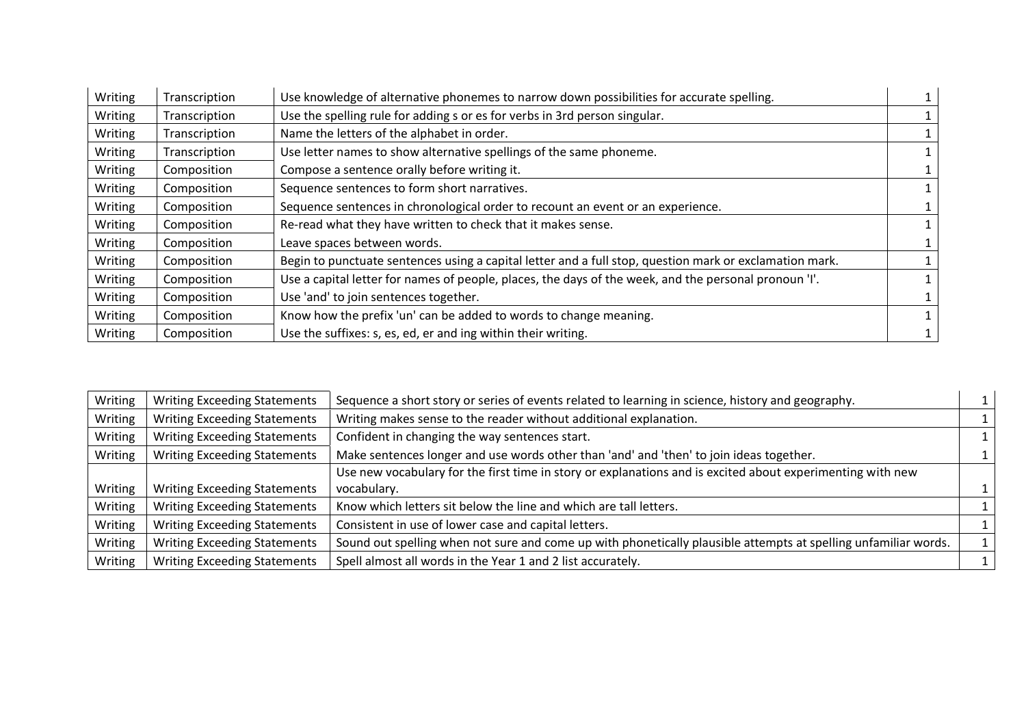| Writing | Transcription | Use knowledge of alternative phonemes to narrow down possibilities for accurate spelling.               |  |
|---------|---------------|---------------------------------------------------------------------------------------------------------|--|
| Writing | Transcription | Use the spelling rule for adding s or es for verbs in 3rd person singular.                              |  |
| Writing | Transcription | Name the letters of the alphabet in order.                                                              |  |
| Writing | Transcription | Use letter names to show alternative spellings of the same phoneme.                                     |  |
| Writing | Composition   | Compose a sentence orally before writing it.                                                            |  |
| Writing | Composition   | Sequence sentences to form short narratives.                                                            |  |
| Writing | Composition   | Sequence sentences in chronological order to recount an event or an experience.                         |  |
| Writing | Composition   | Re-read what they have written to check that it makes sense.                                            |  |
| Writing | Composition   | Leave spaces between words.                                                                             |  |
| Writing | Composition   | Begin to punctuate sentences using a capital letter and a full stop, question mark or exclamation mark. |  |
| Writing | Composition   | Use a capital letter for names of people, places, the days of the week, and the personal pronoun 'I'.   |  |
| Writing | Composition   | Use 'and' to join sentences together.                                                                   |  |
| Writing | Composition   | Know how the prefix 'un' can be added to words to change meaning.                                       |  |
| Writing | Composition   | Use the suffixes: s, es, ed, er and ing within their writing.                                           |  |

| Writing | <b>Writing Exceeding Statements</b> | Sequence a short story or series of events related to learning in science, history and geography.               |  |
|---------|-------------------------------------|-----------------------------------------------------------------------------------------------------------------|--|
| Writing | <b>Writing Exceeding Statements</b> | Writing makes sense to the reader without additional explanation.                                               |  |
| Writing | <b>Writing Exceeding Statements</b> | Confident in changing the way sentences start.                                                                  |  |
| Writing | <b>Writing Exceeding Statements</b> | Make sentences longer and use words other than 'and' and 'then' to join ideas together.                         |  |
|         |                                     | Use new vocabulary for the first time in story or explanations and is excited about experimenting with new      |  |
| Writing | <b>Writing Exceeding Statements</b> | vocabulary.                                                                                                     |  |
| Writing | <b>Writing Exceeding Statements</b> | Know which letters sit below the line and which are tall letters.                                               |  |
| Writing | <b>Writing Exceeding Statements</b> | Consistent in use of lower case and capital letters.                                                            |  |
| Writing | <b>Writing Exceeding Statements</b> | Sound out spelling when not sure and come up with phonetically plausible attempts at spelling unfamiliar words. |  |
| Writing | <b>Writing Exceeding Statements</b> | Spell almost all words in the Year 1 and 2 list accurately.                                                     |  |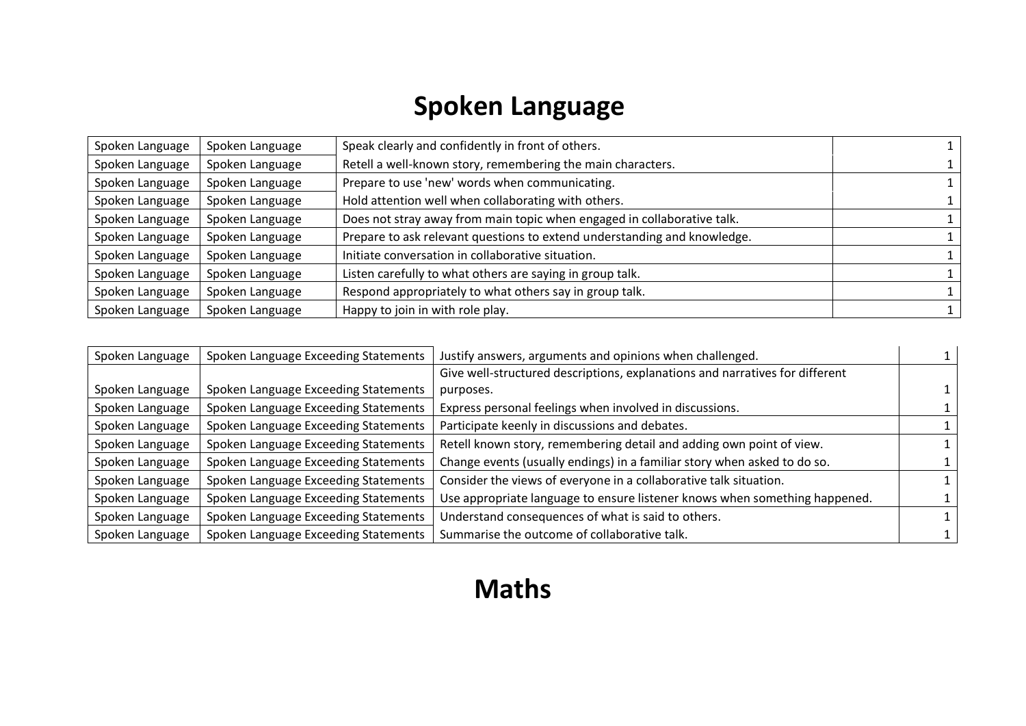### **Spoken Language**

| Spoken Language | Spoken Language | Speak clearly and confidently in front of others.                        |  |
|-----------------|-----------------|--------------------------------------------------------------------------|--|
| Spoken Language | Spoken Language | Retell a well-known story, remembering the main characters.              |  |
| Spoken Language | Spoken Language | Prepare to use 'new' words when communicating.                           |  |
| Spoken Language | Spoken Language | Hold attention well when collaborating with others.                      |  |
| Spoken Language | Spoken Language | Does not stray away from main topic when engaged in collaborative talk.  |  |
| Spoken Language | Spoken Language | Prepare to ask relevant questions to extend understanding and knowledge. |  |
| Spoken Language | Spoken Language | Initiate conversation in collaborative situation.                        |  |
| Spoken Language | Spoken Language | Listen carefully to what others are saying in group talk.                |  |
| Spoken Language | Spoken Language | Respond appropriately to what others say in group talk.                  |  |
| Spoken Language | Spoken Language | Happy to join in with role play.                                         |  |

| Spoken Language | Spoken Language Exceeding Statements | Justify answers, arguments and opinions when challenged.                     |  |
|-----------------|--------------------------------------|------------------------------------------------------------------------------|--|
|                 |                                      | Give well-structured descriptions, explanations and narratives for different |  |
| Spoken Language | Spoken Language Exceeding Statements | purposes.                                                                    |  |
| Spoken Language | Spoken Language Exceeding Statements | Express personal feelings when involved in discussions.                      |  |
| Spoken Language | Spoken Language Exceeding Statements | Participate keenly in discussions and debates.                               |  |
| Spoken Language | Spoken Language Exceeding Statements | Retell known story, remembering detail and adding own point of view.         |  |
| Spoken Language | Spoken Language Exceeding Statements | Change events (usually endings) in a familiar story when asked to do so.     |  |
| Spoken Language | Spoken Language Exceeding Statements | Consider the views of everyone in a collaborative talk situation.            |  |
| Spoken Language | Spoken Language Exceeding Statements | Use appropriate language to ensure listener knows when something happened.   |  |
| Spoken Language | Spoken Language Exceeding Statements | Understand consequences of what is said to others.                           |  |
| Spoken Language | Spoken Language Exceeding Statements | Summarise the outcome of collaborative talk.                                 |  |

### **Maths**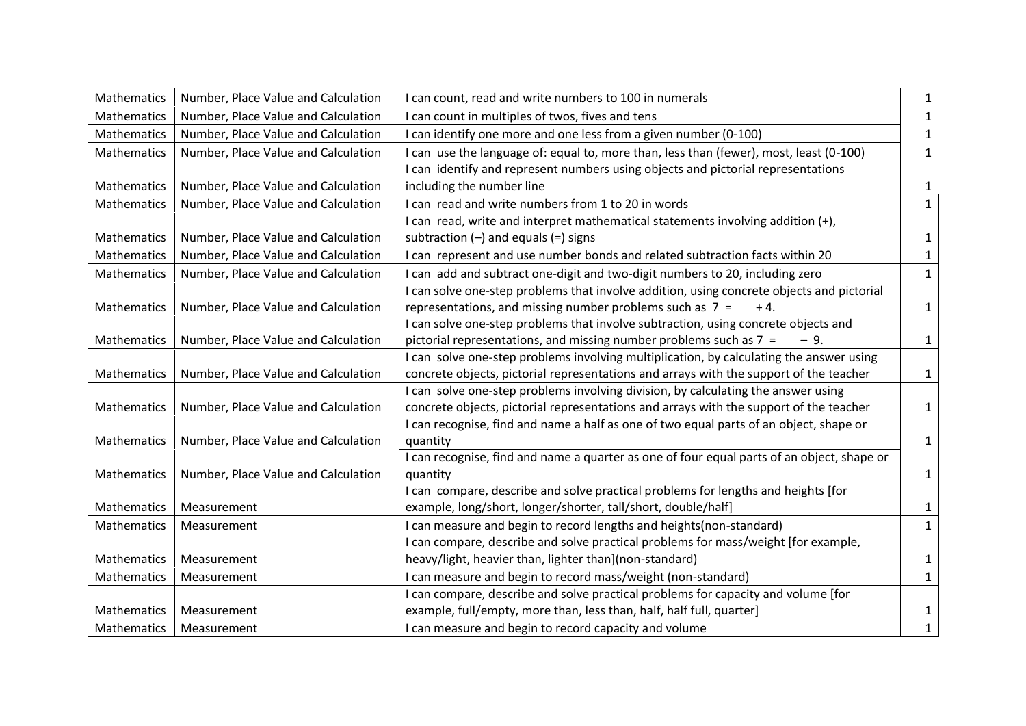| Mathematics        | Number, Place Value and Calculation | I can count, read and write numbers to 100 in numerals                                                                                                    | 1            |
|--------------------|-------------------------------------|-----------------------------------------------------------------------------------------------------------------------------------------------------------|--------------|
| Mathematics        | Number, Place Value and Calculation | can count in multiples of twos, fives and tens                                                                                                            | 1            |
| Mathematics        | Number, Place Value and Calculation | I can identify one more and one less from a given number (0-100)                                                                                          | 1            |
| Mathematics        | Number, Place Value and Calculation | can use the language of: equal to, more than, less than (fewer), most, least (0-100)                                                                      | 1            |
|                    |                                     | I can identify and represent numbers using objects and pictorial representations                                                                          |              |
| Mathematics        | Number, Place Value and Calculation | including the number line                                                                                                                                 | $\mathbf{1}$ |
| Mathematics        | Number, Place Value and Calculation | can read and write numbers from 1 to 20 in words                                                                                                          | $\mathbf{1}$ |
|                    |                                     | I can read, write and interpret mathematical statements involving addition (+),                                                                           |              |
| Mathematics        | Number, Place Value and Calculation | subtraction $(-)$ and equals $(=)$ signs                                                                                                                  | $\mathbf{1}$ |
| Mathematics        | Number, Place Value and Calculation | can represent and use number bonds and related subtraction facts within 20                                                                                | $\mathbf{1}$ |
| Mathematics        | Number, Place Value and Calculation | can add and subtract one-digit and two-digit numbers to 20, including zero                                                                                | $\mathbf{1}$ |
|                    |                                     | I can solve one-step problems that involve addition, using concrete objects and pictorial                                                                 |              |
| Mathematics        | Number, Place Value and Calculation | representations, and missing number problems such as $7 =$<br>$+4.$                                                                                       | $\mathbf{1}$ |
|                    |                                     | I can solve one-step problems that involve subtraction, using concrete objects and                                                                        |              |
| Mathematics        | Number, Place Value and Calculation | pictorial representations, and missing number problems such as 7 =<br>$-9.$                                                                               | $\mathbf{1}$ |
|                    |                                     | I can solve one-step problems involving multiplication, by calculating the answer using                                                                   |              |
| Mathematics        | Number, Place Value and Calculation | concrete objects, pictorial representations and arrays with the support of the teacher                                                                    | $\mathbf{1}$ |
|                    |                                     | I can solve one-step problems involving division, by calculating the answer using                                                                         |              |
| Mathematics        | Number, Place Value and Calculation | concrete objects, pictorial representations and arrays with the support of the teacher                                                                    | $\mathbf{1}$ |
|                    |                                     | I can recognise, find and name a half as one of two equal parts of an object, shape or                                                                    |              |
| Mathematics        | Number, Place Value and Calculation | quantity                                                                                                                                                  | $\mathbf{1}$ |
|                    |                                     | I can recognise, find and name a quarter as one of four equal parts of an object, shape or                                                                |              |
| Mathematics        | Number, Place Value and Calculation | quantity                                                                                                                                                  | $\mathbf{1}$ |
| Mathematics        | Measurement                         | I can compare, describe and solve practical problems for lengths and heights [for                                                                         |              |
| Mathematics        |                                     | example, long/short, longer/shorter, tall/short, double/half]                                                                                             | $\mathbf{1}$ |
|                    | Measurement                         | I can measure and begin to record lengths and heights(non-standard)<br>I can compare, describe and solve practical problems for mass/weight [for example, | $\mathbf{1}$ |
| Mathematics        | Measurement                         | heavy/light, heavier than, lighter than](non-standard)                                                                                                    | $\mathbf{1}$ |
| Mathematics        | Measurement                         |                                                                                                                                                           |              |
|                    |                                     | I can measure and begin to record mass/weight (non-standard)<br>I can compare, describe and solve practical problems for capacity and volume [for         | $\mathbf{1}$ |
| <b>Mathematics</b> | Measurement                         | example, full/empty, more than, less than, half, half full, quarter]                                                                                      | $\mathbf{1}$ |
| Mathematics        | Measurement                         | I can measure and begin to record capacity and volume                                                                                                     | $\mathbf{1}$ |
|                    |                                     |                                                                                                                                                           |              |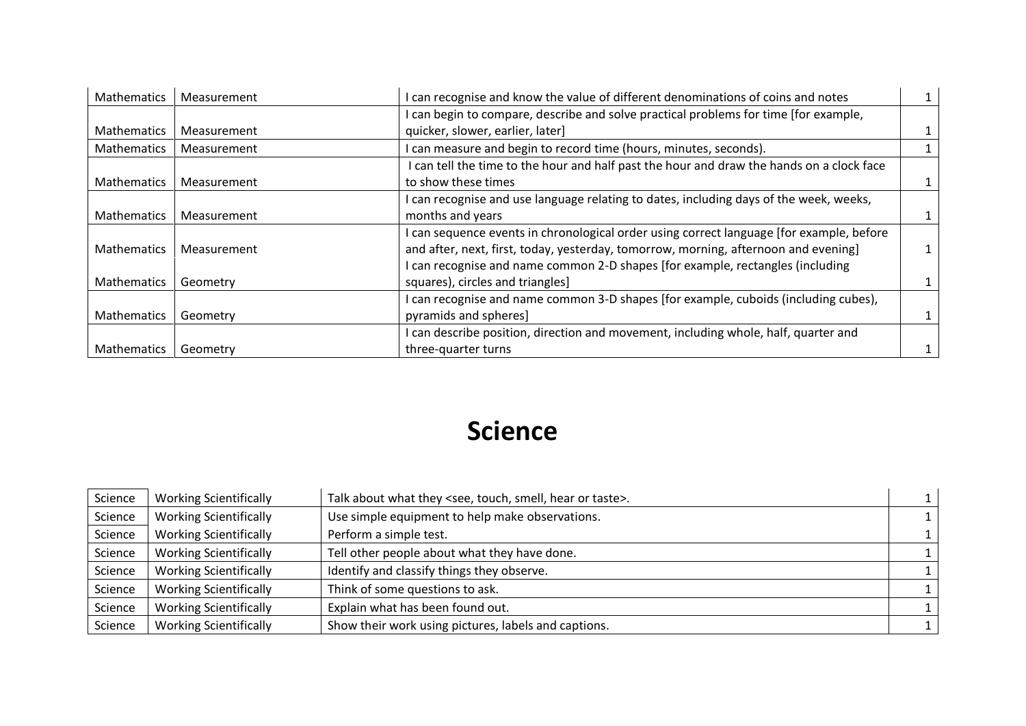| Mathematics        | Measurement | can recognise and know the value of different denominations of coins and notes            | $1\,$  |
|--------------------|-------------|-------------------------------------------------------------------------------------------|--------|
|                    |             | can begin to compare, describe and solve practical problems for time [for example,        |        |
| <b>Mathematics</b> | Measurement | quicker, slower, earlier, later]                                                          |        |
| Mathematics        | Measurement | can measure and begin to record time (hours, minutes, seconds).                           |        |
|                    |             | I can tell the time to the hour and half past the hour and draw the hands on a clock face |        |
| <b>Mathematics</b> | Measurement | to show these times                                                                       | $1 \,$ |
|                    |             | can recognise and use language relating to dates, including days of the week, weeks,      |        |
| <b>Mathematics</b> | Measurement | months and years                                                                          |        |
|                    |             | can sequence events in chronological order using correct language [for example, before    |        |
| <b>Mathematics</b> | Measurement | and after, next, first, today, yesterday, tomorrow, morning, afternoon and evening]       |        |
|                    |             | can recognise and name common 2-D shapes [for example, rectangles (including              |        |
| Mathematics        | Geometry    | squares), circles and triangles]                                                          |        |
|                    |             | can recognise and name common 3-D shapes [for example, cuboids (including cubes),         |        |
| <b>Mathematics</b> | Geometry    | pyramids and spheres]                                                                     |        |
|                    |             | can describe position, direction and movement, including whole, half, quarter and         |        |
| <b>Mathematics</b> | Geometry    | three-quarter turns                                                                       |        |

#### **Science**

| Science | <b>Working Scientifically</b> | Talk about what they <see, hear="" or="" smell,="" taste="" touch,="">.</see,> |  |
|---------|-------------------------------|--------------------------------------------------------------------------------|--|
| Science | <b>Working Scientifically</b> | Use simple equipment to help make observations.                                |  |
| Science | <b>Working Scientifically</b> | Perform a simple test.                                                         |  |
| Science | <b>Working Scientifically</b> | Tell other people about what they have done.                                   |  |
| Science | <b>Working Scientifically</b> | Identify and classify things they observe.                                     |  |
| Science | <b>Working Scientifically</b> | Think of some questions to ask.                                                |  |
| Science | <b>Working Scientifically</b> | Explain what has been found out.                                               |  |
| Science | <b>Working Scientifically</b> | Show their work using pictures, labels and captions.                           |  |